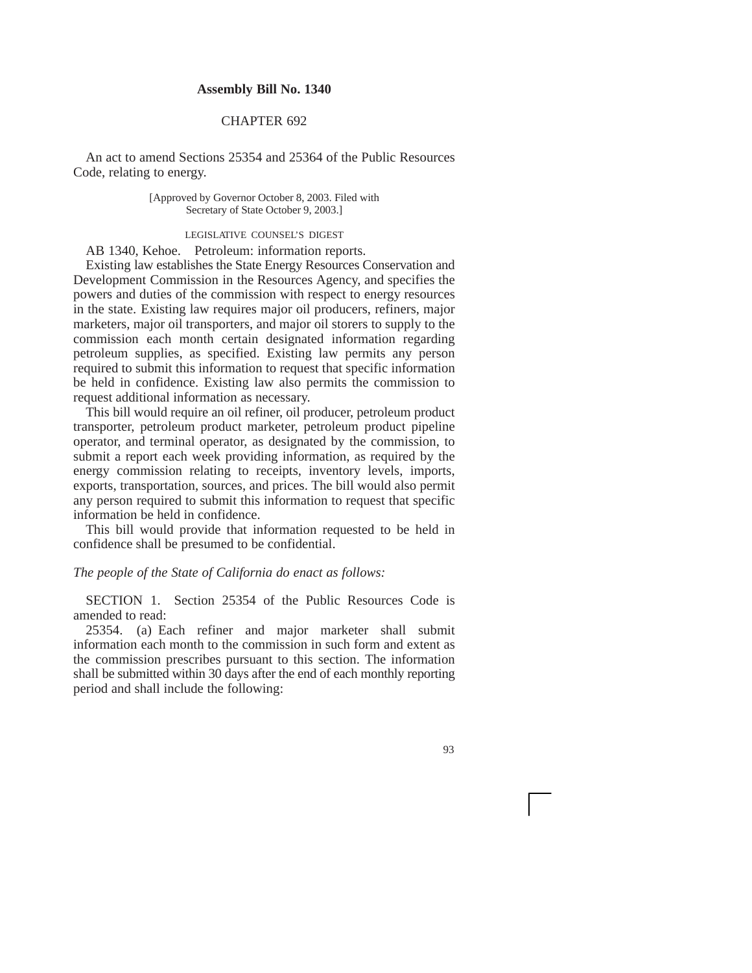## **Assembly Bill No. 1340**

## CHAPTER 692

An act to amend Sections 25354 and 25364 of the Public Resources Code, relating to energy.

> [Approved by Governor October 8, 2003. Filed with Secretary of State October 9, 2003.]

## LEGISLATIVE COUNSEL'S DIGEST

AB 1340, Kehoe. Petroleum: information reports.

Existing law establishes the State Energy Resources Conservation and Development Commission in the Resources Agency, and specifies the powers and duties of the commission with respect to energy resources in the state. Existing law requires major oil producers, refiners, major marketers, major oil transporters, and major oil storers to supply to the commission each month certain designated information regarding petroleum supplies, as specified. Existing law permits any person required to submit this information to request that specific information be held in confidence. Existing law also permits the commission to request additional information as necessary.

This bill would require an oil refiner, oil producer, petroleum product transporter, petroleum product marketer, petroleum product pipeline operator, and terminal operator, as designated by the commission, to submit a report each week providing information, as required by the energy commission relating to receipts, inventory levels, imports, exports, transportation, sources, and prices. The bill would also permit any person required to submit this information to request that specific information be held in confidence.

This bill would provide that information requested to be held in confidence shall be presumed to be confidential.

## *The people of the State of California do enact as follows:*

SECTION 1. Section 25354 of the Public Resources Code is amended to read:

25354. (a) Each refiner and major marketer shall submit information each month to the commission in such form and extent as the commission prescribes pursuant to this section. The information shall be submitted within 30 days after the end of each monthly reporting period and shall include the following: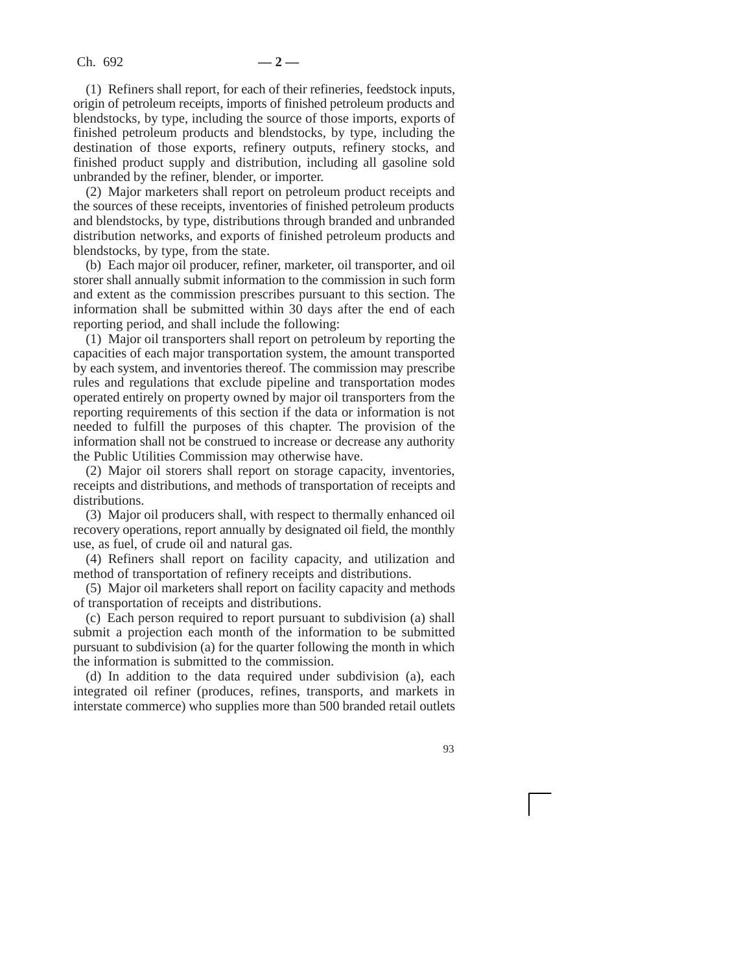(1) Refiners shall report, for each of their refineries, feedstock inputs, origin of petroleum receipts, imports of finished petroleum products and blendstocks, by type, including the source of those imports, exports of finished petroleum products and blendstocks, by type, including the destination of those exports, refinery outputs, refinery stocks, and finished product supply and distribution, including all gasoline sold unbranded by the refiner, blender, or importer.

(2) Major marketers shall report on petroleum product receipts and the sources of these receipts, inventories of finished petroleum products and blendstocks, by type, distributions through branded and unbranded distribution networks, and exports of finished petroleum products and blendstocks, by type, from the state.

(b) Each major oil producer, refiner, marketer, oil transporter, and oil storer shall annually submit information to the commission in such form and extent as the commission prescribes pursuant to this section. The information shall be submitted within 30 days after the end of each reporting period, and shall include the following:

(1) Major oil transporters shall report on petroleum by reporting the capacities of each major transportation system, the amount transported by each system, and inventories thereof. The commission may prescribe rules and regulations that exclude pipeline and transportation modes operated entirely on property owned by major oil transporters from the reporting requirements of this section if the data or information is not needed to fulfill the purposes of this chapter. The provision of the information shall not be construed to increase or decrease any authority the Public Utilities Commission may otherwise have.

(2) Major oil storers shall report on storage capacity, inventories, receipts and distributions, and methods of transportation of receipts and distributions.

(3) Major oil producers shall, with respect to thermally enhanced oil recovery operations, report annually by designated oil field, the monthly use, as fuel, of crude oil and natural gas.

(4) Refiners shall report on facility capacity, and utilization and method of transportation of refinery receipts and distributions.

(5) Major oil marketers shall report on facility capacity and methods of transportation of receipts and distributions.

(c) Each person required to report pursuant to subdivision (a) shall submit a projection each month of the information to be submitted pursuant to subdivision (a) for the quarter following the month in which the information is submitted to the commission.

(d) In addition to the data required under subdivision (a), each integrated oil refiner (produces, refines, transports, and markets in interstate commerce) who supplies more than 500 branded retail outlets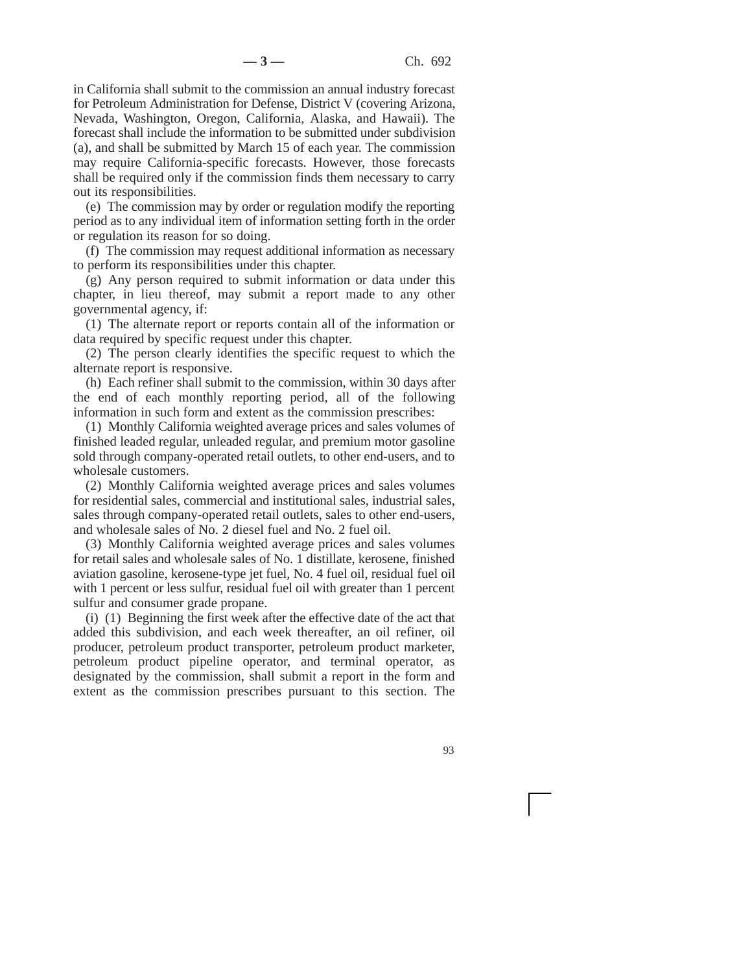in California shall submit to the commission an annual industry forecast for Petroleum Administration for Defense, District V (covering Arizona, Nevada, Washington, Oregon, California, Alaska, and Hawaii). The forecast shall include the information to be submitted under subdivision (a), and shall be submitted by March 15 of each year. The commission may require California-specific forecasts. However, those forecasts shall be required only if the commission finds them necessary to carry out its responsibilities.

(e) The commission may by order or regulation modify the reporting period as to any individual item of information setting forth in the order or regulation its reason for so doing.

(f) The commission may request additional information as necessary to perform its responsibilities under this chapter.

(g) Any person required to submit information or data under this chapter, in lieu thereof, may submit a report made to any other governmental agency, if:

(1) The alternate report or reports contain all of the information or data required by specific request under this chapter.

(2) The person clearly identifies the specific request to which the alternate report is responsive.

(h) Each refiner shall submit to the commission, within 30 days after the end of each monthly reporting period, all of the following information in such form and extent as the commission prescribes:

(1) Monthly California weighted average prices and sales volumes of finished leaded regular, unleaded regular, and premium motor gasoline sold through company-operated retail outlets, to other end-users, and to wholesale customers.

(2) Monthly California weighted average prices and sales volumes for residential sales, commercial and institutional sales, industrial sales, sales through company-operated retail outlets, sales to other end-users, and wholesale sales of No. 2 diesel fuel and No. 2 fuel oil.

(3) Monthly California weighted average prices and sales volumes for retail sales and wholesale sales of No. 1 distillate, kerosene, finished aviation gasoline, kerosene-type jet fuel, No. 4 fuel oil, residual fuel oil with 1 percent or less sulfur, residual fuel oil with greater than 1 percent sulfur and consumer grade propane.

(i) (1) Beginning the first week after the effective date of the act that added this subdivision, and each week thereafter, an oil refiner, oil producer, petroleum product transporter, petroleum product marketer, petroleum product pipeline operator, and terminal operator, as designated by the commission, shall submit a report in the form and extent as the commission prescribes pursuant to this section. The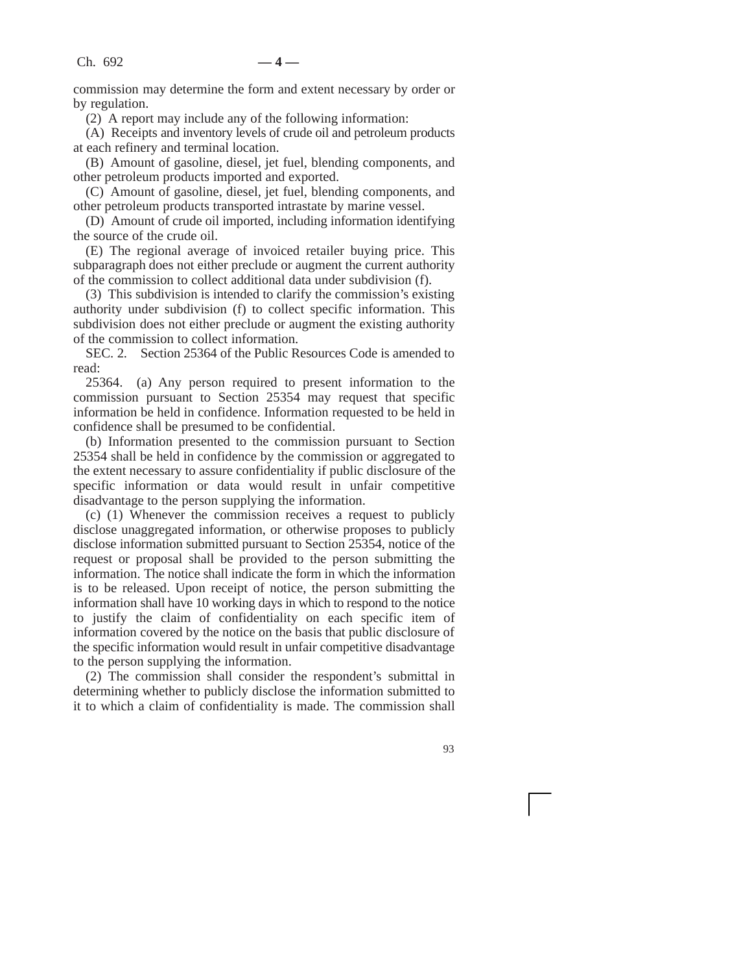commission may determine the form and extent necessary by order or by regulation.

(2) A report may include any of the following information:

(A) Receipts and inventory levels of crude oil and petroleum products at each refinery and terminal location.

(B) Amount of gasoline, diesel, jet fuel, blending components, and other petroleum products imported and exported.

(C) Amount of gasoline, diesel, jet fuel, blending components, and other petroleum products transported intrastate by marine vessel.

(D) Amount of crude oil imported, including information identifying the source of the crude oil.

(E) The regional average of invoiced retailer buying price. This subparagraph does not either preclude or augment the current authority of the commission to collect additional data under subdivision (f).

(3) This subdivision is intended to clarify the commission's existing authority under subdivision (f) to collect specific information. This subdivision does not either preclude or augment the existing authority of the commission to collect information.

SEC. 2. Section 25364 of the Public Resources Code is amended to read:

25364. (a) Any person required to present information to the commission pursuant to Section 25354 may request that specific information be held in confidence. Information requested to be held in confidence shall be presumed to be confidential.

(b) Information presented to the commission pursuant to Section 25354 shall be held in confidence by the commission or aggregated to the extent necessary to assure confidentiality if public disclosure of the specific information or data would result in unfair competitive disadvantage to the person supplying the information.

(c) (1) Whenever the commission receives a request to publicly disclose unaggregated information, or otherwise proposes to publicly disclose information submitted pursuant to Section 25354, notice of the request or proposal shall be provided to the person submitting the information. The notice shall indicate the form in which the information is to be released. Upon receipt of notice, the person submitting the information shall have 10 working days in which to respond to the notice to justify the claim of confidentiality on each specific item of information covered by the notice on the basis that public disclosure of the specific information would result in unfair competitive disadvantage to the person supplying the information.

(2) The commission shall consider the respondent's submittal in determining whether to publicly disclose the information submitted to it to which a claim of confidentiality is made. The commission shall